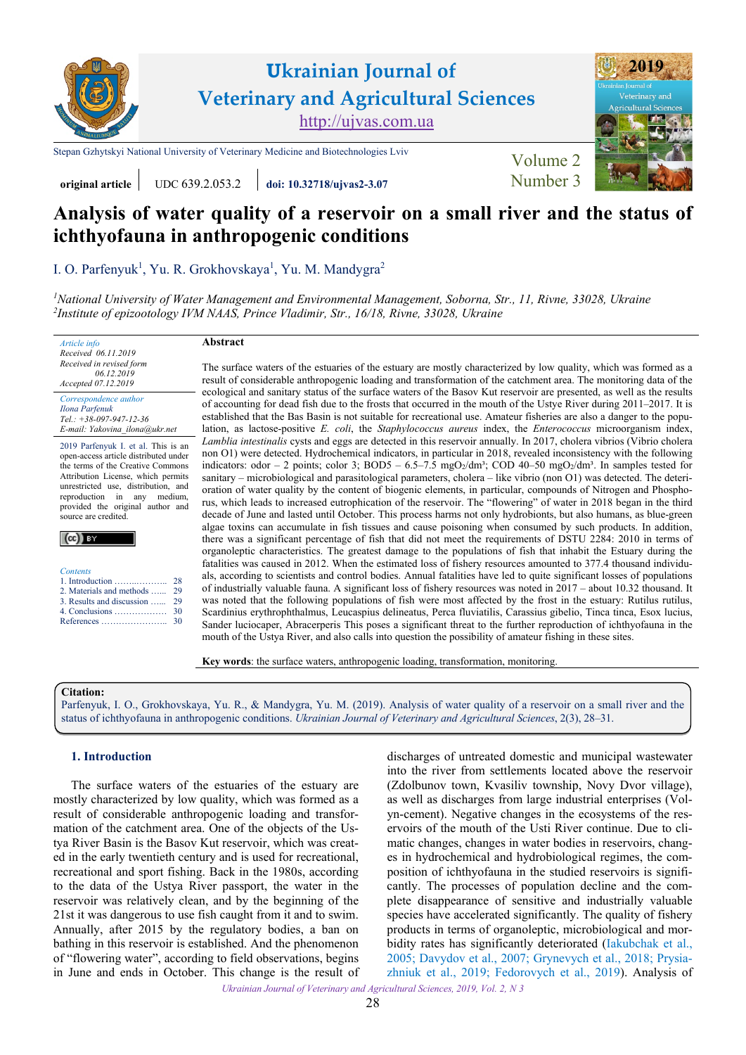

**Ukrainian Journal of Veterinary and Agricultural Sciences** [http://ujvas.com.ua](http://ujvas.com.ua/)

[Stepan Gzhytskyi National University of Veterinary Medicine and Biotechnologies Lviv](https://lvet.edu.ua) [Volume 2](https://ujvas.com.ua/index.php/journal/issue/view/5)



# **original article** UDC 639.2.053.2 *doi:* **10.32718/ujvas2-3.07 Number 3**

# **Analysis of water quality of a reservoir on a small river and the status of ichthyofauna in anthropogenic conditions**

I. O. [Parfenyuk](https://orcid.org/0000-0003-0947-693X)<sup>1</sup>, Yu. R. Grokhovskaya<sup>1</sup>, Yu. M. Mandygra<sup>2</sup>

*1 National University of Water Management [and Environmental Management, Soborna, Str., 11, Rivne, 33028, Ukraine](http://en.nuwm.edu.ua) 2 [Institute of epizootology IVM NAAS, Prince Vladimir, Str., 16/18, Rivne, 33028, Ukraine](http://ivm.kiev.ua/en/structure/scientific-departments/rivne-research-station-of-epizootology-ivm-naas-ukraine.html)*

# **Abstract**

*Received 06.11.2019 Received in revised form 06.12.2019 Accepted 07.12.2019 Correspondence author*

*Article info*

*[Ilona Parfenuk](https://orcid.org/0000-0003-0947-693X) Tel.: +38-097-947-12-36 E-mail: Yakovina\_ilona@ukr.net*

2019 Parfenyuk I. et al. This is an open-access article distributed under the terms of the Creative Commons Attribution License, which permits unrestricted use, distribution, and reproduction in any medium, provided the original author and source are credited.

|--|--|--|--|--|

|  | Contents |  |
|--|----------|--|
|  |          |  |

| 2. Materials and methods   29 |  |
|-------------------------------|--|
| 3. Results and discussion  29 |  |
|                               |  |
|                               |  |
|                               |  |

The surface waters of the estuaries of the estuary are mostly characterized by low quality, which was formed as a result of considerable anthropogenic loading and transformation of the catchment area. The monitoring data of the ecological and sanitary status of the surface waters of the Basov Kut reservoir are presented, as well as the results of accounting for dead fish due to the frosts that occurred in the mouth of the Ustye River during 2011–2017. It is established that the Bas Basin is not suitable for recreational use. Amateur fisheries are also a danger to the population, as lactose-positive *E. coli*, the *Staphylococcus aureus* index, the *Enterococcus* microorganism index, *Lamblia intestinalis* cysts and eggs are detected in this reservoir annually. In 2017, cholera vibrios (Vibrio cholera non O1) were detected. Hydrochemical indicators, in particular in 2018, revealed inconsistency with the following indicators: odor – 2 points; color 3; BOD5 – 6.5–7.5 mgO2/dm<sup>3</sup>; COD 40–50 mgO2/dm<sup>3</sup>. In samples tested for sanitary – microbiological and parasitological parameters, cholera – like vibrio (non O1) was detected. The deterioration of water quality by the content of biogenic elements, in particular, compounds of Nitrogen and Phosphorus, which leads to increased eutrophication of the reservoir. The "flowering" of water in 2018 began in the third decade of June and lasted until October. This process harms not only hydrobionts, but also humans, as blue-green algae toxins can accumulate in fish tissues and cause poisoning when consumed by such products. In addition, there was a significant percentage of fish that did not meet the requirements of DSTU 2284: 2010 in terms of organoleptic characteristics. The greatest damage to the populations of fish that inhabit the Estuary during the fatalities was caused in 2012. When the estimated loss of fishery resources amounted to 377.4 thousand individuals, according to scientists and control bodies. Annual fatalities have led to quite significant losses of populations of industrially valuable fauna. A significant loss of fishery resources was noted in 2017 – about 10.32 thousand. It was noted that the following populations of fish were most affected by the frost in the estuary: Rutilus rutilus, Scardinius erythrophthalmus, Leucaspius delineatus, Perca fluviatilis, Carassius gibelio, Tinca tinca, Esox lucius, Sander luciocaper, Abracerperis This poses a significant threat to the further reproduction of ichthyofauna in the mouth of the Ustya River, and also calls into question the possibility of amateur fishing in these sites.

**Key words**: the surface waters, anthropogenic loading, transformation, monitoring.

#### **Citation:**

Parfenyuk, I. O., Grokhovskaya, Yu. R., & Mandygra, Yu. M. [\(2019\). Analysis of water quality of a reservoir on a small river and the](https://doi.org/10.32718/ujvas2-3.07) status of ichthyofauna in anthropogenic conditions. *Ukrainian Journal of Veterinary and Agricultural Sciences*, 2(3), 28–31.

### **1. Introduction**

The surface waters of the estuaries of the estuary are mostly characterized by low quality, which was formed as a result of considerable anthropogenic loading and transformation of the catchment area. One of the objects of the Ustya River Basin is the Basov Kut reservoir, which was created in the early twentieth century and is used for recreational, recreational and sport fishing. Back in the 1980s, according to the data of the Ustya River passport, the water in the reservoir was relatively clean, and by the beginning of the 21st it was dangerous to use fish caught from it and to swim. Annually, after 2015 by the regulatory bodies, a ban on bathing in this reservoir is established. And the phenomenon of "flowering water", according to field observations, begins in June and ends in October. This change is the result of

discharges of untreated domestic and municipal wastewater into the river from settlements located above the reservoir (Zdolbunov town, Kvasiliv township, Novy Dvor village), as well as discharges from large industrial enterprises (Volyn-cement). Negative changes in the ecosystems of the reservoirs of the mouth of the Usti River continue. Due to climatic changes, changes in water bodies in reservoirs, changes in hydrochemical and hydrobiological regimes, the composition of ichthyofauna in the studied reservoirs is significantly. The processes of population decline and the complete disappearance of sensitive and industrially valuable species have accelerated significantly. The quality of fishery products in terms of organoleptic, microbiological and morbidity rates has significantly deteriorated (Iakubchak et al., [2005](#page-3-0); [Davydov et al., 2007;](#page-2-0) [Grynevych et al., 2018;](#page-2-0) [Prysia](#page-3-0)zhniuk [et al., 2019](#page-3-0); [Fedorovych](#page-2-0) et al., 2019). Analysis of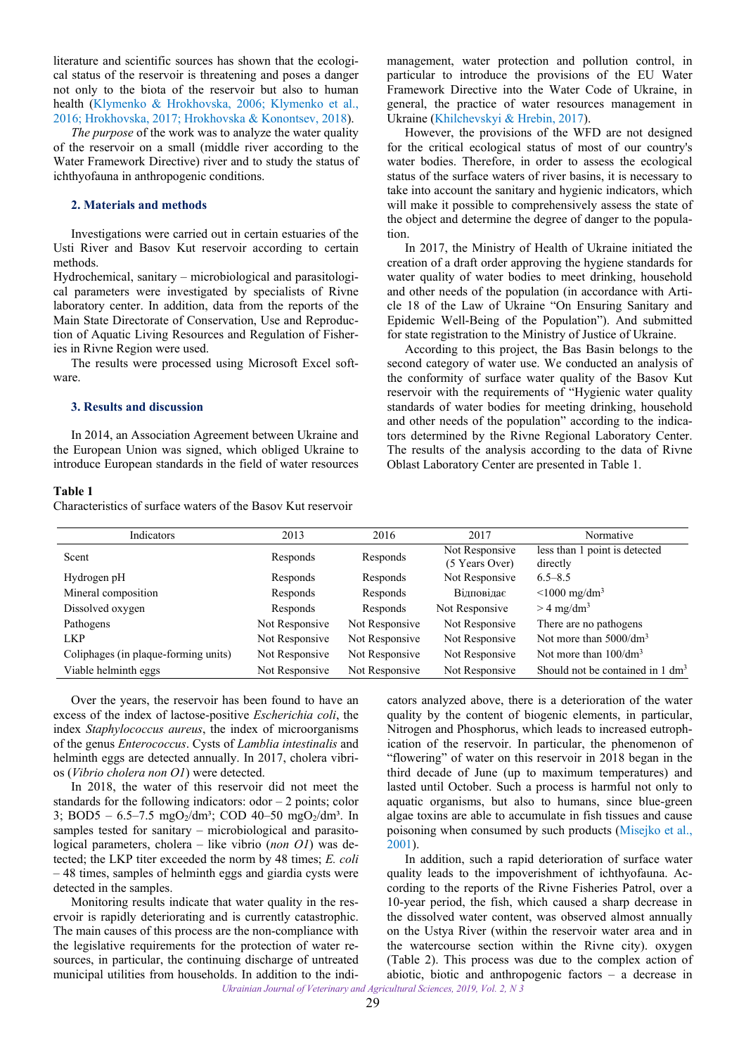<span id="page-1-0"></span>literature and scientific sources has shown that the ecological status of the reservoir is threatening and poses a danger not only to the biota of the reservoir but also to human health ([Klymenko & Hrokhovska, 2006;](#page-3-0) [Klymenko et al.,](#page-3-0) [2016;](#page-3-0) [Hrokhovska, 2017; Hrokhovska & Konontsev, 2018](#page-2-0)).

*The purpose* of the work was to analyze the water quality of the reservoir on a small (middle river according to the Water Framework Directive) river and to study the status of ichthyofauna in anthropogenic conditions.

# **2. Materials and methods**

Investigations were carried out in certain estuaries of the Usti River and Basov Kut reservoir according to certain methods.

Hydrochemical, sanitary – microbiological and parasitological parameters were investigated by specialists of Rivne laboratory center. In addition, data from the reports of the Main State Directorate of Conservation, Use and Reproduction of Aquatic Living Resources and Regulation of Fisheries in Rivne Region were used.

The results were processed using Microsoft Excel software.

# **3. Results and discussion**

In 2014, an Association Agreement between Ukraine and the European Union was signed, which obliged Ukraine to introduce European standards in the field of water resources

#### **Table 1**

Characteristics of surface waters of the Basov Kut reservoir

management, water protection and pollution control, in particular to introduce the provisions of the EU Water Framework Directive into the Water Code of Ukraine, in general, the practice of water resources management in Ukraine [\(Khilchevskyi & Hrebin, 2017\)](#page-3-0).

However, the provisions of the WFD are not designed for the critical ecological status of most of our country's water bodies. Therefore, in order to assess the ecological status of the surface waters of river basins, it is necessary to take into account the sanitary and hygienic indicators, which will make it possible to comprehensively assess the state of the object and determine the degree of danger to the population.

In 2017, the Ministry of Health of Ukraine initiated the creation of a draft order approving the hygiene standards for water quality of water bodies to meet drinking, household and other needs of the population (in accordance with Article 18 of the Law of Ukraine "On Ensuring Sanitary and Epidemic Well-Being of the Population"). And submitted for state registration to the Ministry of Justice of Ukraine.

According to this project, the Bas Basin belongs to the second category of water use. We conducted an analysis of the conformity of surface water quality of the Basov Kut reservoir with the requirements of "Hygienic water quality standards of water bodies for meeting drinking, household and other needs of the population" according to the indicators determined by the Rivne Regional Laboratory Center. The results of the analysis according to the data of Rivne Oblast Laboratory Center are presented in Table 1.

| Indicators                           | 2013           | 2016           | 2017                             | Normative                                   |
|--------------------------------------|----------------|----------------|----------------------------------|---------------------------------------------|
| Scent                                | Responds       | Responds       | Not Responsive<br>(5 Years Over) | less than 1 point is detected<br>directly   |
| Hydrogen pH                          | Responds       | Responds       | Not Responsive                   | $6.5 - 8.5$                                 |
| Mineral composition                  | Responds       | Responds       | Відповідає                       | $\leq 1000$ mg/dm <sup>3</sup>              |
| Dissolved oxygen                     | Responds       | Responds       | Not Responsive                   | $> 4$ mg/dm <sup>3</sup>                    |
| Pathogens                            | Not Responsive | Not Responsive | Not Responsive                   | There are no pathogens                      |
| <b>LKP</b>                           | Not Responsive | Not Responsive | Not Responsive                   | Not more than $5000/dm^3$                   |
| Coliphages (in plaque-forming units) | Not Responsive | Not Responsive | Not Responsive                   | Not more than $100/dm3$                     |
| Viable helminth eggs                 | Not Responsive | Not Responsive | Not Responsive                   | Should not be contained in $1 \text{ dm}^3$ |

Over the years, the reservoir has been found to have an excess of the index of lactose-positive *Escherichia coli*, the index *Staphylococcus aureus*, the index of microorganisms of the genus *Enterococcus*. Cysts of *Lamblia intestinalis* and helminth eggs are detected annually. In 2017, cholera vibrios (*Vibrio cholera non O1*) were detected.

In 2018, the water of this reservoir did not meet the standards for the following indicators:  $odor - 2 points$ ;  $color$ 3; BOD5 – 6.5–7.5 mgO<sub>2</sub>/dm<sup>3</sup>; COD 40–50 mgO<sub>2</sub>/dm<sup>3</sup>. In samples tested for sanitary – microbiological and parasitological parameters, cholera – like vibrio (*non O1*) was detected; the LKP titer exceeded the norm by 48 times; *E. coli* – 48 times, samples of helminth eggs and giardia cysts were detected in the samples.

Monitoring results indicate that water quality in the reservoir is rapidly deteriorating and is currently catastrophic. The main causes of this process are the non-compliance with the legislative requirements for the protection of water resources, in particular, the continuing discharge of untreated municipal utilities from households. In addition to the indicators analyzed above, there is a deterioration of the water quality by the content of biogenic elements, in particular, Nitrogen and Phosphorus, which leads to increased eutrophication of the reservoir. In particular, the phenomenon of "flowering" of water on this reservoir in 2018 began in the third decade of June (up to maximum temperatures) and lasted until October. Such a process is harmful not only to aquatic organisms, but also to humans, since blue-green algae toxins are able to accumulate in fish tissues and cause poisoning when consumed by such products ([Misejko et al.,](#page-3-0)  [2001](#page-3-0)).

*Ukrainian Journal of Veterinary and Agricultural Sciences, 2019, Vol. 2, N 3* In addition, such a rapid deterioration of surface water quality leads to the impoverishment of ichthyofauna. According to the reports of the Rivne Fisheries Patrol, over a 10-year period, the fish, which caused a sharp decrease in the dissolved water content, was observed almost annually on the Ustya River (within the reservoir water area and in the watercourse section within the Rivne city). oxygen (Table 2). This process was due to the complex action of abiotic, biotic and anthropogenic factors – a decrease in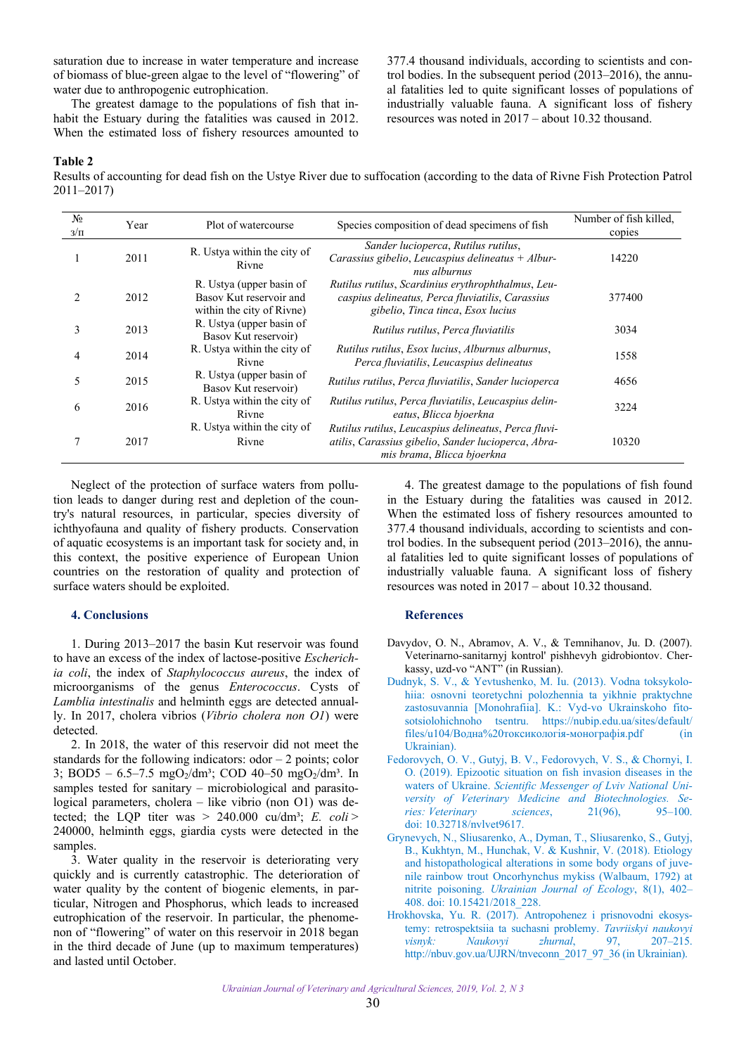<span id="page-2-0"></span>saturation due to increase in water temperature and increase of biomass of blue-green algae to the level of "flowering" of water due to anthropogenic eutrophication.

The greatest damage to the populations of fish that inhabit the Estuary during the fatalities was caused in 2012. When the estimated loss of fishery resources amounted to 377.4 thousand individuals, according to scientists and control bodies. In the subsequent period (2013–2016), the annual fatalities led to quite significant losses of populations of industrially valuable fauna. A significant loss of fishery resources was noted in 2017 – about 10.32 thousand.

#### **Table 2**

Results of accounting for dead fish on the Ustye River due to suffocation (according to the data of Rivne Fish Protection Patrol 2011–2017)

| $N_2$<br>$3/\Pi$ | Year | Plot of watercourse                                                              | Species composition of dead specimens of fish                                                                                               | Number of fish killed,<br>copies |
|------------------|------|----------------------------------------------------------------------------------|---------------------------------------------------------------------------------------------------------------------------------------------|----------------------------------|
|                  | 2011 | R. Ustya within the city of<br>Rivne                                             | Sander lucioperca, Rutilus rutilus,<br>Carassius gibelio, Leucaspius delineatus + Albur-<br>nus alburnus                                    | 14220                            |
|                  | 2012 | R. Ustya (upper basin of<br>Basov Kut reservoir and<br>within the city of Rivne) | Rutilus rutilus, Scardinius erythrophthalmus, Leu-<br>caspius delineatus, Perca fluviatilis, Carassius<br>gibelio, Tinca tinca, Esox lucius | 377400                           |
| 3                | 2013 | R. Ustya (upper basin of<br>Basov Kut reservoir)                                 | Rutilus rutilus, Perca fluviatilis                                                                                                          | 3034                             |
| 4                | 2014 | R. Ustya within the city of<br>Rivne                                             | Rutilus rutilus, Esox lucius, Alburnus alburnus,<br>Perca fluviatilis, Leucaspius delineatus                                                | 1558                             |
| 5                | 2015 | R. Ustya (upper basin of<br>Basov Kut reservoir)                                 | Rutilus rutilus, Perca fluviatilis, Sander lucioperca                                                                                       | 4656                             |
| 6                | 2016 | R. Ustya within the city of<br>Rivne                                             | Rutilus rutilus, Perca fluviatilis, Leucaspius delin-<br>eatus, Blicca bjoerkna                                                             | 3224                             |
| 7                | 2017 | R. Ustya within the city of<br>Rivne                                             | Rutilus rutilus, Leucaspius delineatus, Perca fluvi-<br>atilis, Carassius gibelio, Sander lucioperca, Abra-<br>mis brama, Blicca bjoerkna   | 10320                            |

Neglect of the protection of surface waters from pollution leads to danger during rest and depletion of the country's natural resources, in particular, species diversity of ichthyofauna and quality of fishery products. Conservation of aquatic ecosystems is an important task for society and, in this context, the positive experience of European Union countries on the restoration of quality and protection of surface waters should be exploited.

#### **4. Conclusions**

1. During 2013–2017 the basin Kut reservoir was found to have an excess of the index of lactose-positive *Escherichia coli*, the index of *Staphylococcus aureus*, the index of microorganisms of the genus *Enterococcus*. Cysts of *Lamblia intestinalis* and helminth eggs are detected annually. In 2017, cholera vibrios (*Vibrio cholera non O1*) were detected.

2. In 2018, the water of this reservoir did not meet the standards for the following indicators:  $odor - 2 points$ ; color 3; BOD5 – 6.5–7.5 mgO<sub>2</sub>/dm<sup>3</sup>; COD 40–50 mgO<sub>2</sub>/dm<sup>3</sup>. In samples tested for sanitary – microbiological and parasitological parameters, cholera – like vibrio (non O1) was detected; the LQP titer was  $> 240.000$  cu/dm<sup>3</sup>; *E. coli* > 240000, helminth eggs, giardia cysts were detected in the samples.

3. Water quality in the reservoir is deteriorating very quickly and is currently catastrophic. The deterioration of water quality by the content of biogenic elements, in particular, Nitrogen and Phosphorus, which leads to increased eutrophication of the reservoir. In particular, the phenomenon of "flowering" of water on this reservoir in 2018 began in the third decade of June (up to maximum temperatures) and lasted until October.

4. The greatest damage to the populations of fish found in the Estuary during the fatalities was caused in 2012. When the estimated loss of fishery resources amounted to 377.4 thousand individuals, according to scientists and control bodies. In the subsequent period (2013–2016), the annual fatalities led to quite significant losses of populations of industrially valuable fauna. A significant loss of fishery resources was noted in 2017 – about 10.32 thousand.

# **References**

- Davydov, O. N., Abramov, A. V., & Temnihanov, Ju. D. (2007). Veterinarno-sanitarnyj kontrol' pishhevyh gidrobiontov. Cherkassy, uzd-vo "ANT" (in Russian).
- [Dudnyk, S. V., & Yevtushenko, M. Iu. \(2013\). Vodna toksykolo](https://nubip.edu.ua/sites/default/files/u104/%D0%92%D0%BE%D0%B4%D0%BD%D0%B0%20%D1%82%D0%BE%D0%BA%D1%81%D0%B8%D0%BA%D0%BE%D0%BB%D0%BE%D0%B3%D1%96%D1%8F-%D0%BC%D0%BE%D0%BD%D0%BE%D0%B3%D1%80%D0%B0%D1%84%D1%96%D1%8F.pdf)hiia: osnovni teoretychni polozhennia ta yikhnie praktychne zastosuvannia [Monohrafiia]. K.: Vyd-vo Ukrainskoho fitosotsiolohichnoho tsentru. https://nubip.edu.ua/sites/default/ files/u104/Водна%20токсикологія-монографія.pdf (in Ukrainian).
- Fedorovych, О. V., Gutyj, B. V., Fedorovych, V. S., & Chornyi, I. [O. \(2019\). Epizootic situation on fish invasion diseases in the](https://doi.org/10.32718/nvlvet9617)  waters of Ukraine. *Scientific Messenger of Lviv National University of Veterinary Medicine and Biotechnologies. Series: Veterinary sciences*, 21(96), 95–100. doi: 10.32718/nvlvet9617.
- [Grynevych, N., Sliusarenko, A., Dyman, T., Sliusarenko, S., Gutyj,](https://www.ujecology.com/abstract/etiology-and-histopathological-alterations-in-some-body-organs-of-juvenile-rainbow-trout-oncorhynchus-mykiss-walbaum-179-132.html)  B., Kukhtyn, M., Hunchak, V. & Kushnir, V. (2018). Etiology and histopathological alterations in some body organs of juvenile rainbow trout Oncorhynchus mykiss (Walbaum, 1792) at nitrite poisoning. *Ukrainian Journal of Ecology*, 8(1), 402– 408. doi: 10.15421/2018\_228.
- [Hrokhovska, Yu. R. \(2017\). Antropohenez i prisnovodni ekosys](http://nbuv.gov.ua/UJRN/tnveconn_2017_97_36)temy: retrospektsiia ta suchasni problemy. *Tavriiskyi naukovyi visnyk: Naukovyi zhurnal*, 97, 207–215. [http://nbuv.gov.ua/UJRN/tnveconn\\_2017\\_97\\_36](http://www.irbis-nbuv.gov.ua/cgi-bin/irbis_nbuv/cgiirbis_64.exe?I21DBN=LINK&P21DBN=UJRN&Z21ID=&S21REF=10&S21CNR=20&S21STN=1&S21FMT=ASP_meta&C21COM=S&2_S21P03=FILA=&2_S21STR=tnveconn_2017_97_36) (in Ukrainian).